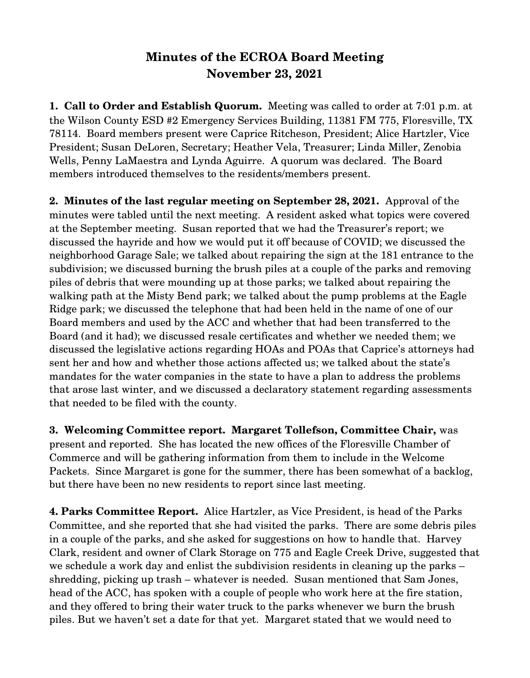## **Minutes of the ECROA Board Meeting November 23, 2021**

**1. Call to Order and Establish Quorum.** Meeting was called to order at 7:01 p.m. at the Wilson County ESD #2 Emergency Services Building, 11381 FM 775, Floresville, TX 78114. Board members present were Caprice Ritcheson, President; Alice Hartzler, Vice President; Susan DeLoren, Secretary; Heather Vela, Treasurer; Linda Miller, Zenobia Wells, Penny LaMaestra and Lynda Aguirre. A quorum was declared. The Board members introduced themselves to the residents/members present.

**2. Minutes of the last regular meeting on September 28, 2021.**  Approval of the minutes were tabled until the next meeting. A resident asked what topics were covered at the September meeting. Susan reported that we had the Treasurer's report; we discussed the hayride and how we would put it off because of COVID; we discussed the neighborhood Garage Sale; we talked about repairing the sign at the 181 entrance to the subdivision; we discussed burning the brush piles at a couple of the parks and removing piles of debris that were mounding up at those parks; we talked about repairing the walking path at the Misty Bend park; we talked about the pump problems at the Eagle Ridge park; we discussed the telephone that had been held in the name of one of our Board members and used by the ACC and whether that had been transferred to the Board (and it had); we discussed resale certificates and whether we needed them; we discussed the legislative actions regarding HOAs and POAs that Caprice's attorneys had sent her and how and whether those actions affected us; we talked about the state's mandates for the water companies in the state to have a plan to address the problems that arose last winter, and we discussed a declaratory statement regarding assessments that needed to be filed with the county.

**3. Welcoming Committee report. Margaret Tollefson, Committee Chair,** was present and reported. She has located the new offices of the Floresville Chamber of Commerce and will be gathering information from them to include in the Welcome Packets. Since Margaret is gone for the summer, there has been somewhat of a backlog, but there have been no new residents to report since last meeting.

**4. Parks Committee Report.** Alice Hartzler, as Vice President, is head of the Parks Committee, and she reported that she had visited the parks. There are some debris piles in a couple of the parks, and she asked for suggestions on how to handle that. Harvey Clark, resident and owner of Clark Storage on 775 and Eagle Creek Drive, suggested that we schedule a work day and enlist the subdivision residents in cleaning up the parks – shredding, picking up trash – whatever is needed. Susan mentioned that Sam Jones, head of the ACC, has spoken with a couple of people who work here at the fire station, and they offered to bring their water truck to the parks whenever we burn the brush piles. But we haven't set a date for that yet. Margaret stated that we would need to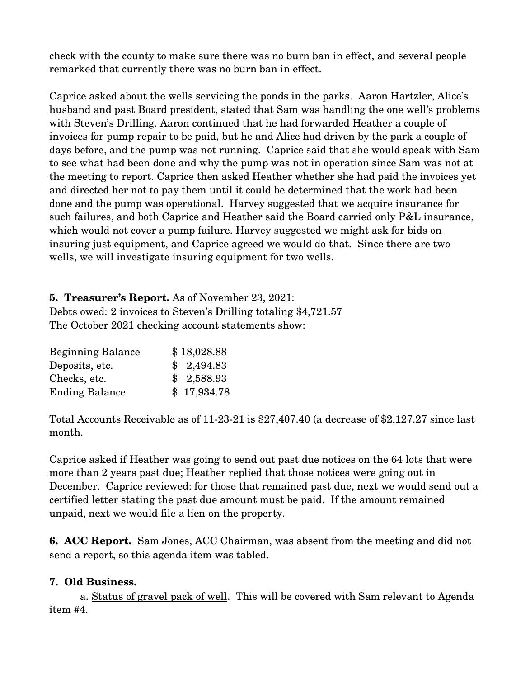check with the county to make sure there was no burn ban in effect, and several people remarked that currently there was no burn ban in effect.

Caprice asked about the wells servicing the ponds in the parks. Aaron Hartzler, Alice's husband and past Board president, stated that Sam was handling the one well's problems with Steven's Drilling. Aaron continued that he had forwarded Heather a couple of invoices for pump repair to be paid, but he and Alice had driven by the park a couple of days before, and the pump was not running. Caprice said that she would speak with Sam to see what had been done and why the pump was not in operation since Sam was not at the meeting to report. Caprice then asked Heather whether she had paid the invoices yet and directed her not to pay them until it could be determined that the work had been done and the pump was operational. Harvey suggested that we acquire insurance for such failures, and both Caprice and Heather said the Board carried only P&L insurance, which would not cover a pump failure. Harvey suggested we might ask for bids on insuring just equipment, and Caprice agreed we would do that. Since there are two wells, we will investigate insuring equipment for two wells.

**5. Treasurer's Report.** As of November 23, 2021: Debts owed: 2 invoices to Steven's Drilling totaling \$4,721.57 The October 2021 checking account statements show:

| <b>Beginning Balance</b> | \$18,028.88 |
|--------------------------|-------------|
| Deposits, etc.           | \$2,494.83  |
| Checks, etc.             | \$2,588.93  |
| <b>Ending Balance</b>    | \$17,934.78 |

Total Accounts Receivable as of  $11-23-21$  is  $$27,407.40$  (a decrease of  $$2,127.27$  since last month.

Caprice asked if Heather was going to send out past due notices on the 64 lots that were more than 2 years past due; Heather replied that those notices were going out in December. Caprice reviewed: for those that remained past due, next we would send out a certified letter stating the past due amount must be paid. If the amount remained unpaid, next we would file a lien on the property.

**6. ACC Report.** Sam Jones, ACC Chairman, was absent from the meeting and did not send a report, so this agenda item was tabled.

## **7. Old Business.**

a. Status of gravel pack of well. This will be covered with Sam relevant to Agenda item #4.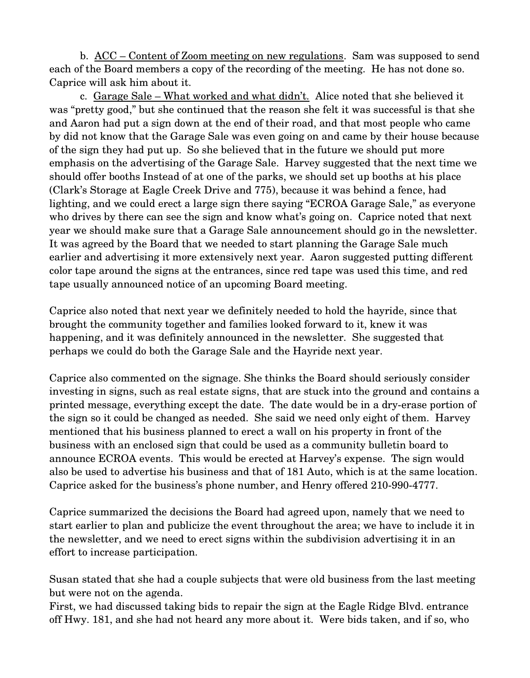b. ACC – Content of Zoom meeting on new regulations. Sam was supposed to send each of the Board members a copy of the recording of the meeting. He has not done so. Caprice will ask him about it.

c. Garage Sale – What worked and what didn't. Alice noted that she believed it was "pretty good," but she continued that the reason she felt it was successful is that she and Aaron had put a sign down at the end of their road, and that most people who came by did not know that the Garage Sale was even going on and came by their house because of the sign they had put up. So she believed that in the future we should put more emphasis on the advertising of the Garage Sale. Harvey suggested that the next time we should offer booths Instead of at one of the parks, we should set up booths at his place (Clark's Storage at Eagle Creek Drive and 775), because it was behind a fence, had lighting, and we could erect a large sign there saying "ECROA Garage Sale," as everyone who drives by there can see the sign and know what's going on. Caprice noted that next year we should make sure that a Garage Sale announcement should go in the newsletter. It was agreed by the Board that we needed to start planning the Garage Sale much earlier and advertising it more extensively next year. Aaron suggested putting different color tape around the signs at the entrances, since red tape was used this time, and red tape usually announced notice of an upcoming Board meeting.

Caprice also noted that next year we definitely needed to hold the hayride, since that brought the community together and families looked forward to it, knew it was happening, and it was definitely announced in the newsletter. She suggested that perhaps we could do both the Garage Sale and the Hayride next year.

Caprice also commented on the signage. She thinks the Board should seriously consider investing in signs, such as real estate signs, that are stuck into the ground and contains a printed message, everything except the date. The date would be in a dry-erase portion of the sign so it could be changed as needed. She said we need only eight of them. Harvey mentioned that his business planned to erect a wall on his property in front of the business with an enclosed sign that could be used as a community bulletin board to announce ECROA events. This would be erected at Harvey's expense. The sign would also be used to advertise his business and that of 181 Auto, which is at the same location. Caprice asked for the business's phone number, and Henry offered 210-990-4777.

Caprice summarized the decisions the Board had agreed upon, namely that we need to start earlier to plan and publicize the event throughout the area; we have to include it in the newsletter, and we need to erect signs within the subdivision advertising it in an effort to increase participation.

Susan stated that she had a couple subjects that were old business from the last meeting but were not on the agenda.

First, we had discussed taking bids to repair the sign at the Eagle Ridge Blvd. entrance off Hwy. 181, and she had not heard any more about it. Were bids taken, and if so, who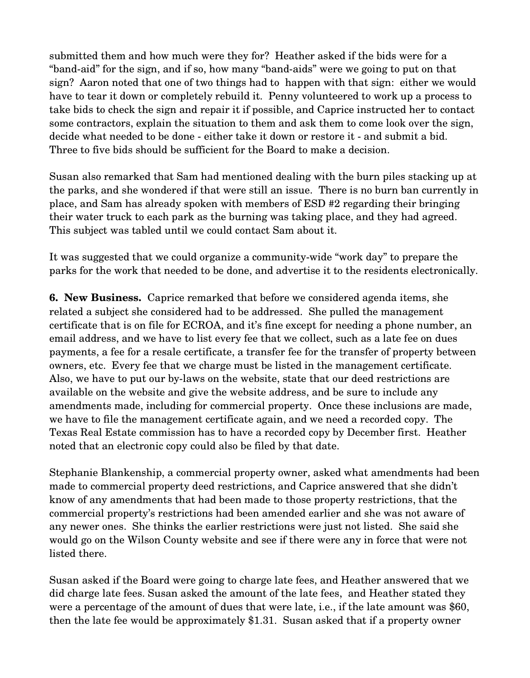submitted them and how much were they for? Heather asked if the bids were for a "band-aid" for the sign, and if so, how many "band-aids" were we going to put on that sign? Aaron noted that one of two things had to happen with that sign: either we would have to tear it down or completely rebuild it. Penny volunteered to work up a process to take bids to check the sign and repair it if possible, and Caprice instructed her to contact some contractors, explain the situation to them and ask them to come look over the sign, decide what needed to be done - either take it down or restore it - and submit a bid. Three to five bids should be sufficient for the Board to make a decision.

Susan also remarked that Sam had mentioned dealing with the burn piles stacking up at the parks, and she wondered if that were still an issue. There is no burn ban currently in place, and Sam has already spoken with members of ESD #2 regarding their bringing their water truck to each park as the burning was taking place, and they had agreed. This subject was tabled until we could contact Sam about it.

It was suggested that we could organize a community-wide "work day" to prepare the parks for the work that needed to be done, and advertise it to the residents electronically.

**6. New Business.** Caprice remarked that before we considered agenda items, she related a subject she considered had to be addressed. She pulled the management certificate that is on file for ECROA, and it's fine except for needing a phone number, an email address, and we have to list every fee that we collect, such as a late fee on dues payments, a fee for a resale certificate, a transfer fee for the transfer of property between owners, etc. Every fee that we charge must be listed in the management certificate. Also, we have to put our by-laws on the website, state that our deed restrictions are available on the website and give the website address, and be sure to include any amendments made, including for commercial property. Once these inclusions are made, we have to file the management certificate again, and we need a recorded copy. The Texas Real Estate commission has to have a recorded copy by December first. Heather noted that an electronic copy could also be filed by that date.

Stephanie Blankenship, a commercial property owner, asked what amendments had been made to commercial property deed restrictions, and Caprice answered that she didn't know of any amendments that had been made to those property restrictions, that the commercial property's restrictions had been amended earlier and she was not aware of any newer ones. She thinks the earlier restrictions were just not listed. She said she would go on the Wilson County website and see if there were any in force that were not listed there.

Susan asked if the Board were going to charge late fees, and Heather answered that we did charge late fees. Susan asked the amount of the late fees, and Heather stated they were a percentage of the amount of dues that were late, i.e., if the late amount was \$60, then the late fee would be approximately \$1.31. Susan asked that if a property owner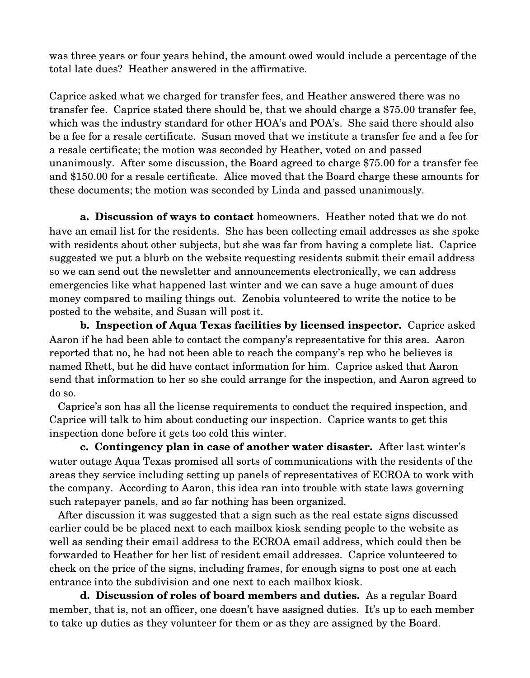was three years or four years behind, the amount owed would include a percentage of the total late dues? Heather answered in the affirmative.

Caprice asked what we charged for transfer fees, and Heather answered there was no transfer fee. Caprice stated there should be, that we should charge a \$75.00 transfer fee, which was the industry standard for other HOA's and POA's. She said there should also be a fee for a resale certificate. Susan moved that we institute a transfer fee and a fee for a resale certificate; the motion was seconded by Heather, voted on and passed unanimously. After some discussion, the Board agreed to charge \$75.00 for a transfer fee and \$150.00 for a resale certificate. Alice moved that the Board charge these amounts for these documents; the motion was seconded by Linda and passed unanimously.

**a. Discussion of ways to contact** homeowners. Heather noted that we do not have an email list for the residents. She has been collecting email addresses as she spoke with residents about other subjects, but she was far from having a complete list. Caprice suggested we put a blurb on the website requesting residents submit their email address so we can send out the newsletter and announcements electronically, we can address emergencies like what happened last winter and we can save a huge amount of dues money compared to mailing things out. Zenobia volunteered to write the notice to be posted to the website, and Susan will post it.

**b. Inspection of Aqua Texas facilities by licensed inspector.** Caprice asked Aaron if he had been able to contact the company's representative for this area. Aaron reported that no, he had not been able to reach the company's rep who he believes is named Rhett, but he did have contact information for him. Caprice asked that Aaron send that information to her so she could arrange for the inspection, and Aaron agreed to do so.

 Caprice's son has all the license requirements to conduct the required inspection, and Caprice will talk to him about conducting our inspection. Caprice wants to get this inspection done before it gets too cold this winter.

**c. Contingency plan in case of another water disaster.** After last winter's water outage Aqua Texas promised all sorts of communications with the residents of the areas they service including setting up panels of representatives of ECROA to work with the company. According to Aaron, this idea ran into trouble with state laws governing such ratepayer panels, and so far nothing has been organized.

 After discussion it was suggested that a sign such as the real estate signs discussed earlier could be be placed next to each mailbox kiosk sending people to the website as well as sending their email address to the ECROA email address, which could then be forwarded to Heather for her list of resident email addresses. Caprice volunteered to check on the price of the signs, including frames, for enough signs to post one at each entrance into the subdivision and one next to each mailbox kiosk.

**d. Discussion of roles of board members and duties.** As a regular Board member, that is, not an officer, one doesn't have assigned duties. It's up to each member to take up duties as they volunteer for them or as they are assigned by the Board.